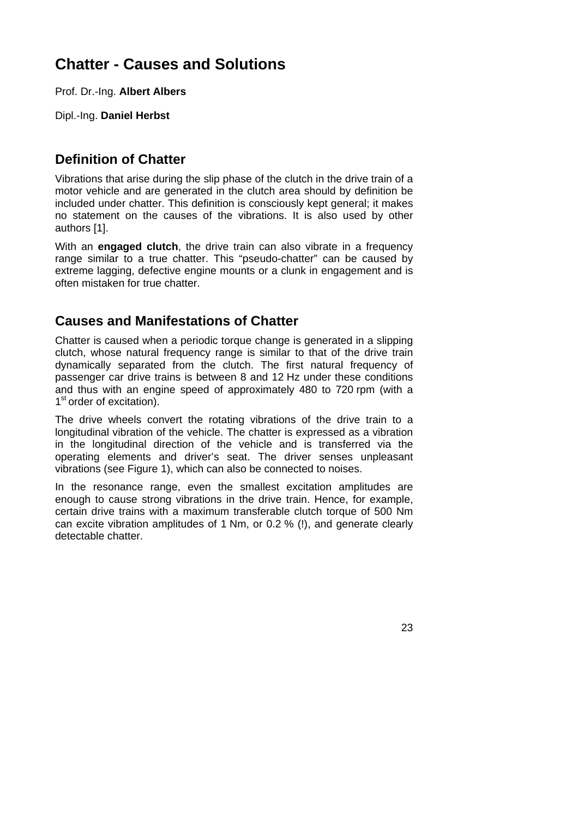# **Chatter - Causes and Solutions**

Prof. Dr.-Ing. **Albert Albers**

Dipl.-Ing. **Daniel Herbst** 

## **Definition of Chatter**

Vibrations that arise during the slip phase of the clutch in the drive train of a motor vehicle and are generated in the clutch area should by definition be included under chatter. This definition is consciously kept general; it makes no statement on the causes of the vibrations. It is also used by other authors [1].

With an **engaged clutch**, the drive train can also vibrate in a frequency range similar to a true chatter. This "pseudo-chatter" can be caused by extreme lagging, defective engine mounts or a clunk in engagement and is often mistaken for true chatter.

## **Causes and Manifestations of Chatter**

Chatter is caused when a periodic torque change is generated in a slipping clutch, whose natural frequency range is similar to that of the drive train dynamically separated from the clutch. The first natural frequency of passenger car drive trains is between 8 and 12 Hz under these conditions and thus with an engine speed of approximately 480 to 720 rpm (with a 1<sup>st</sup> order of excitation).

The drive wheels convert the rotating vibrations of the drive train to a longitudinal vibration of the vehicle. The chatter is expressed as a vibration in the longitudinal direction of the vehicle and is transferred via the operating elements and driver's seat. The driver senses unpleasant vibrations (see Figure 1), which can also be connected to noises.

In the resonance range, even the smallest excitation amplitudes are enough to cause strong vibrations in the drive train. Hence, for example, certain drive trains with a maximum transferable clutch torque of 500 Nm can excite vibration amplitudes of 1 Nm, or 0.2 % (!), and generate clearly detectable chatter.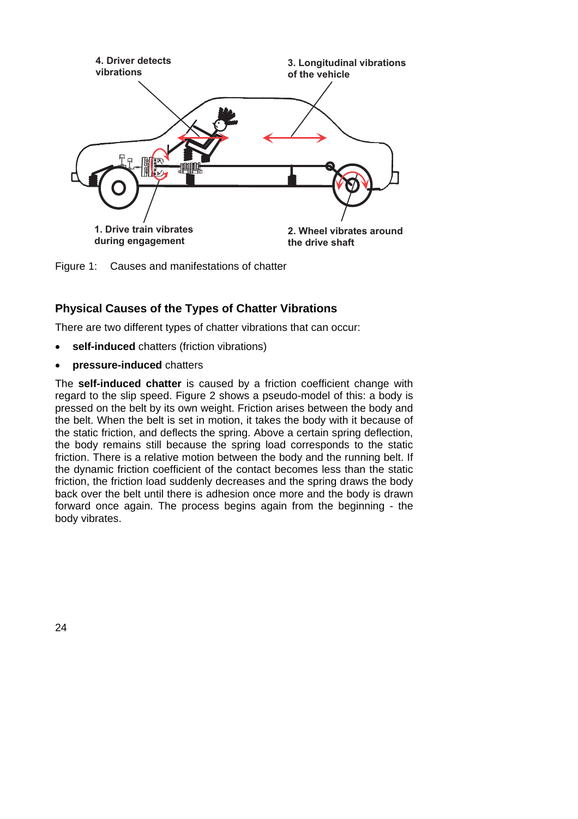

Figure 1: Causes and manifestations of chatter

### **Physical Causes of the Types of Chatter Vibrations**

There are two different types of chatter vibrations that can occur:

- **self-induced** chatters (friction vibrations)
- **pressure-induced** chatters

The **self-induced chatter** is caused by a friction coefficient change with regard to the slip speed. Figure 2 shows a pseudo-model of this: a body is pressed on the belt by its own weight. Friction arises between the body and the belt. When the belt is set in motion, it takes the body with it because of the static friction, and deflects the spring. Above a certain spring deflection, the body remains still because the spring load corresponds to the static friction. There is a relative motion between the body and the running belt. If the dynamic friction coefficient of the contact becomes less than the static friction, the friction load suddenly decreases and the spring draws the body back over the belt until there is adhesion once more and the body is drawn forward once again. The process begins again from the beginning - the body vibrates.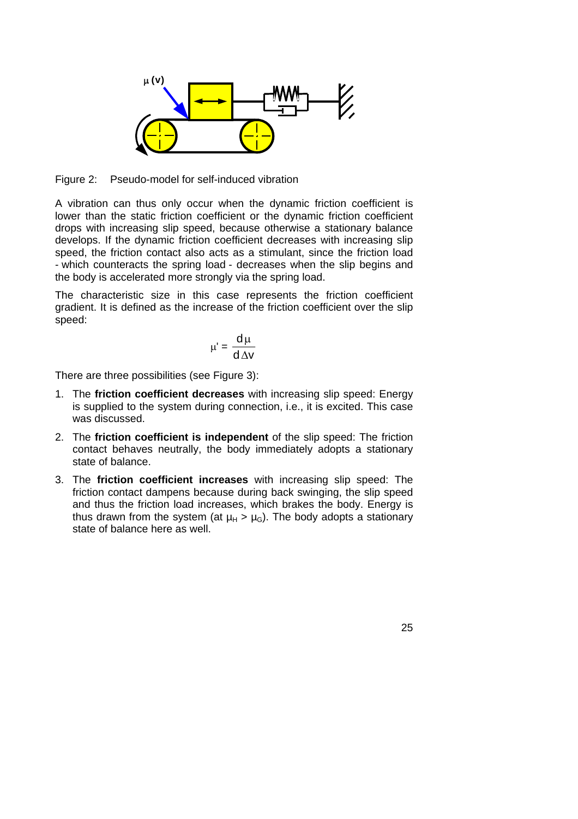

Figure 2: Pseudo-model for self-induced vibration

A vibration can thus only occur when the dynamic friction coefficient is lower than the static friction coefficient or the dynamic friction coefficient drops with increasing slip speed, because otherwise a stationary balance develops. If the dynamic friction coefficient decreases with increasing slip speed, the friction contact also acts as a stimulant, since the friction load - which counteracts the spring load - decreases when the slip begins and the body is accelerated more strongly via the spring load.

The characteristic size in this case represents the friction coefficient gradient. It is defined as the increase of the friction coefficient over the slip speed:

$$
\mu' = \frac{d\mu}{d\Delta v}
$$

There are three possibilities (see Figure 3):

- 1. The **friction coefficient decreases** with increasing slip speed: Energy is supplied to the system during connection, i.e., it is excited. This case was discussed.
- 2. The **friction coefficient is independent** of the slip speed: The friction contact behaves neutrally, the body immediately adopts a stationary state of balance.
- 3. The **friction coefficient increases** with increasing slip speed: The friction contact dampens because during back swinging, the slip speed and thus the friction load increases, which brakes the body. Energy is thus drawn from the system (at  $\mu_H$  >  $\mu_G$ ). The body adopts a stationary state of balance here as well.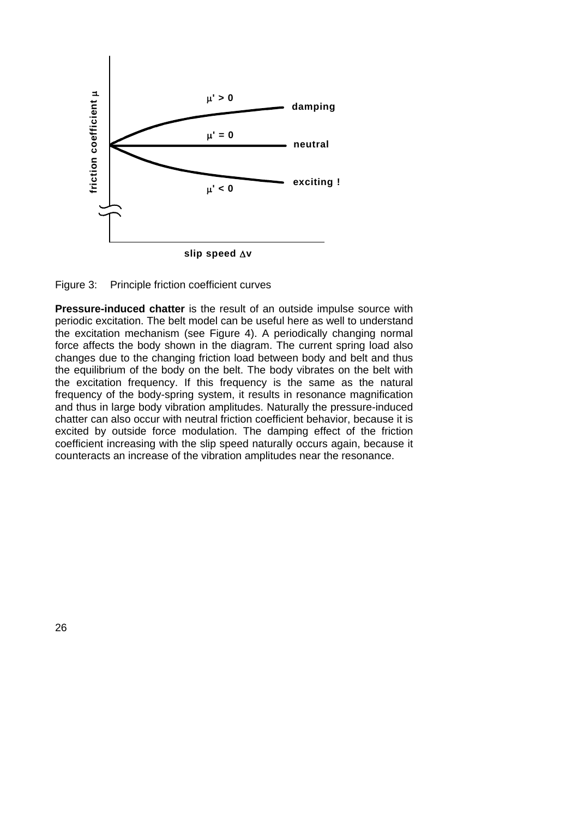

Figure 3: Principle friction coefficient curves

**Pressure-induced chatter** is the result of an outside impulse source with periodic excitation. The belt model can be useful here as well to understand the excitation mechanism (see Figure 4). A periodically changing normal force affects the body shown in the diagram. The current spring load also changes due to the changing friction load between body and belt and thus the equilibrium of the body on the belt. The body vibrates on the belt with the excitation frequency. If this frequency is the same as the natural frequency of the body-spring system, it results in resonance magnification and thus in large body vibration amplitudes. Naturally the pressure-induced chatter can also occur with neutral friction coefficient behavior, because it is excited by outside force modulation. The damping effect of the friction coefficient increasing with the slip speed naturally occurs again, because it counteracts an increase of the vibration amplitudes near the resonance.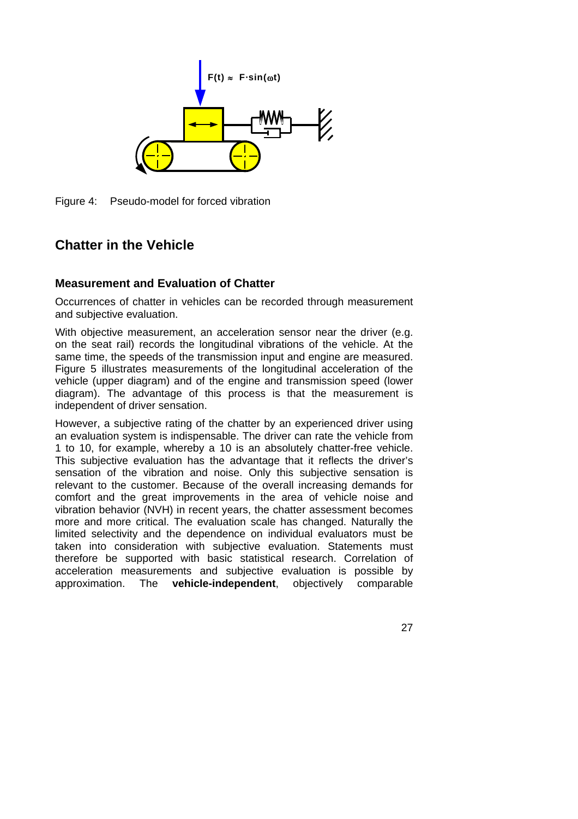

Figure 4: Pseudo-model for forced vibration

## **Chatter in the Vehicle**

### **Measurement and Evaluation of Chatter**

Occurrences of chatter in vehicles can be recorded through measurement and subjective evaluation.

With objective measurement, an acceleration sensor near the driver (e.g. on the seat rail) records the longitudinal vibrations of the vehicle. At the same time, the speeds of the transmission input and engine are measured. Figure 5 illustrates measurements of the longitudinal acceleration of the vehicle (upper diagram) and of the engine and transmission speed (lower diagram). The advantage of this process is that the measurement is independent of driver sensation.

However, a subjective rating of the chatter by an experienced driver using an evaluation system is indispensable. The driver can rate the vehicle from 1 to 10, for example, whereby a 10 is an absolutely chatter-free vehicle. This subjective evaluation has the advantage that it reflects the driver's sensation of the vibration and noise. Only this subjective sensation is relevant to the customer. Because of the overall increasing demands for comfort and the great improvements in the area of vehicle noise and vibration behavior (NVH) in recent years, the chatter assessment becomes more and more critical. The evaluation scale has changed. Naturally the limited selectivity and the dependence on individual evaluators must be taken into consideration with subjective evaluation. Statements must therefore be supported with basic statistical research. Correlation of acceleration measurements and subjective evaluation is possible by approximation. The **vehicle-independent**, objectively comparable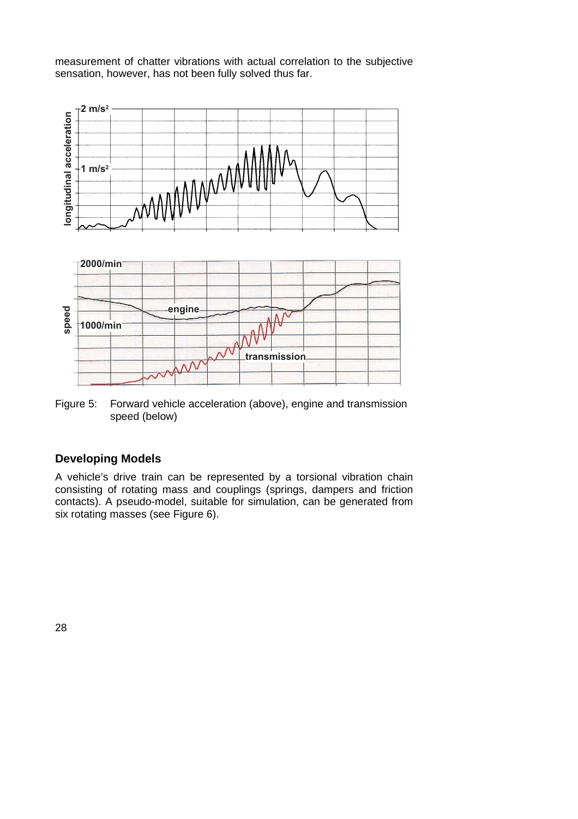measurement of chatter vibrations with actual correlation to the subjective sensation, however, has not been fully solved thus far.



Figure 5: Forward vehicle acceleration (above), engine and transmission speed (below)

### **Developing Models**

A vehicle's drive train can be represented by a torsional vibration chain consisting of rotating mass and couplings (springs, dampers and friction contacts). A pseudo-model, suitable for simulation, can be generated from six rotating masses (see Figure 6).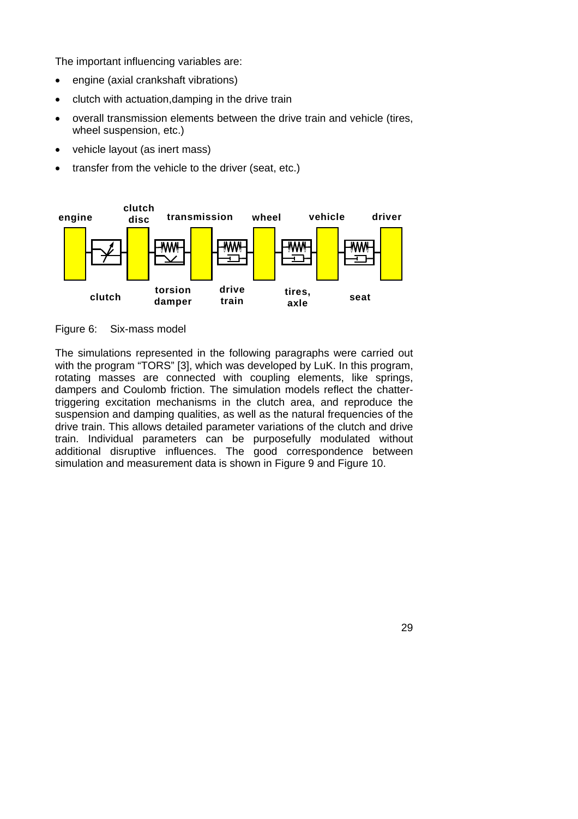The important influencing variables are:

- engine (axial crankshaft vibrations)
- clutch with actuation,damping in the drive train
- overall transmission elements between the drive train and vehicle (tires, wheel suspension, etc.)
- vehicle layout (as inert mass)
- transfer from the vehicle to the driver (seat, etc.)



Figure 6: Six-mass model

The simulations represented in the following paragraphs were carried out with the program "TORS" [3], which was developed by LuK. In this program, rotating masses are connected with coupling elements, like springs, dampers and Coulomb friction. The simulation models reflect the chattertriggering excitation mechanisms in the clutch area, and reproduce the suspension and damping qualities, as well as the natural frequencies of the drive train. This allows detailed parameter variations of the clutch and drive train. Individual parameters can be purposefully modulated without additional disruptive influences. The good correspondence between simulation and measurement data is shown in Figure 9 and Figure 10.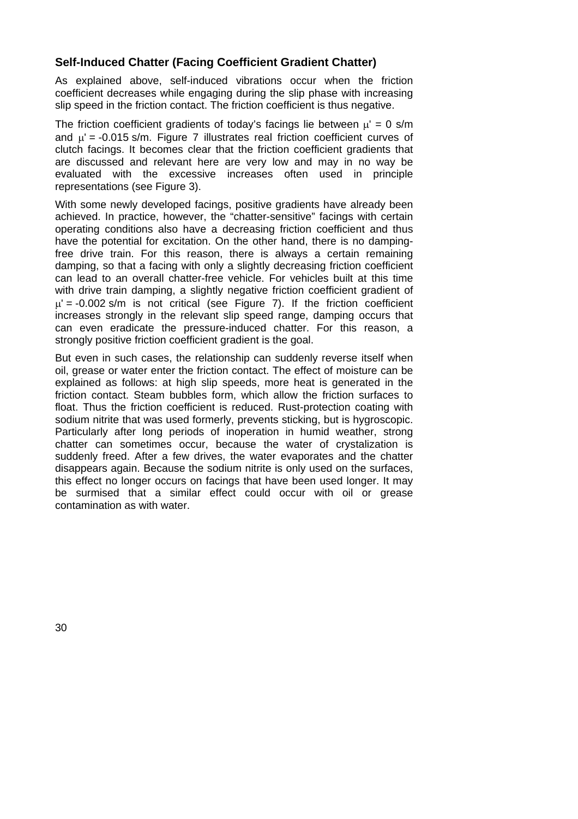#### **Self-Induced Chatter (Facing Coefficient Gradient Chatter)**

As explained above, self-induced vibrations occur when the friction coefficient decreases while engaging during the slip phase with increasing slip speed in the friction contact. The friction coefficient is thus negative.

The friction coefficient gradients of today's facings lie between  $\mu' = 0$  s/m and  $\mu' = -0.015$  s/m. Figure 7 illustrates real friction coefficient curves of clutch facings. It becomes clear that the friction coefficient gradients that are discussed and relevant here are very low and may in no way be evaluated with the excessive increases often used in principle representations (see Figure 3).

With some newly developed facings, positive gradients have already been achieved. In practice, however, the "chatter-sensitive" facings with certain operating conditions also have a decreasing friction coefficient and thus have the potential for excitation. On the other hand, there is no dampingfree drive train. For this reason, there is always a certain remaining damping, so that a facing with only a slightly decreasing friction coefficient can lead to an overall chatter-free vehicle. For vehicles built at this time with drive train damping, a slightly negative friction coefficient gradient of  $\mu$  = -0.002 s/m is not critical (see Figure 7). If the friction coefficient increases strongly in the relevant slip speed range, damping occurs that can even eradicate the pressure-induced chatter. For this reason, a strongly positive friction coefficient gradient is the goal.

But even in such cases, the relationship can suddenly reverse itself when oil, grease or water enter the friction contact. The effect of moisture can be explained as follows: at high slip speeds, more heat is generated in the friction contact. Steam bubbles form, which allow the friction surfaces to float. Thus the friction coefficient is reduced. Rust-protection coating with sodium nitrite that was used formerly, prevents sticking, but is hygroscopic. Particularly after long periods of inoperation in humid weather, strong chatter can sometimes occur, because the water of crystalization is suddenly freed. After a few drives, the water evaporates and the chatter disappears again. Because the sodium nitrite is only used on the surfaces, this effect no longer occurs on facings that have been used longer. It may be surmised that a similar effect could occur with oil or grease contamination as with water.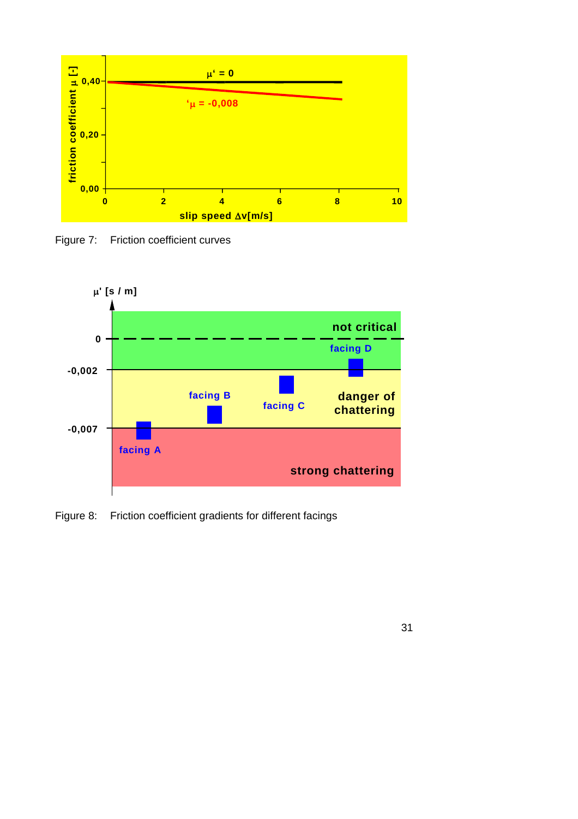

Figure 7: Friction coefficient curves



Figure 8: Friction coefficient gradients for different facings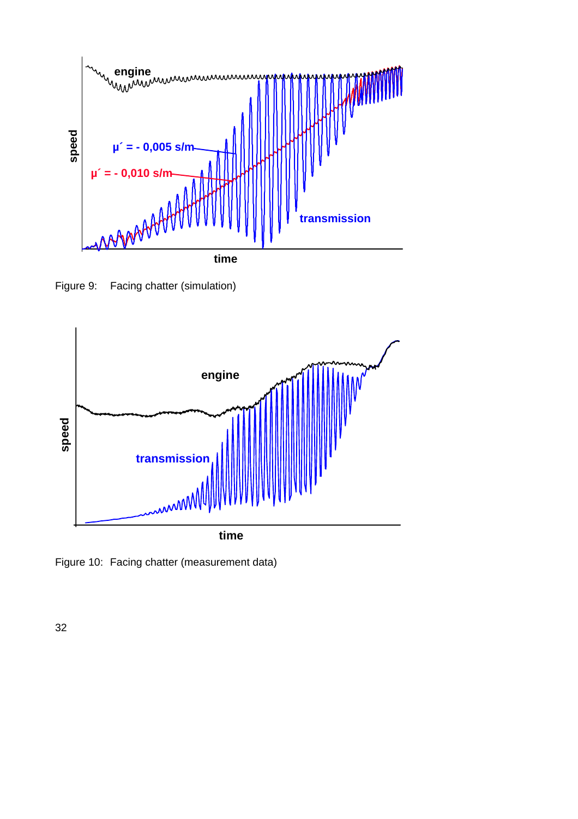

Figure 9: Facing chatter (simulation)



Figure 10: Facing chatter (measurement data)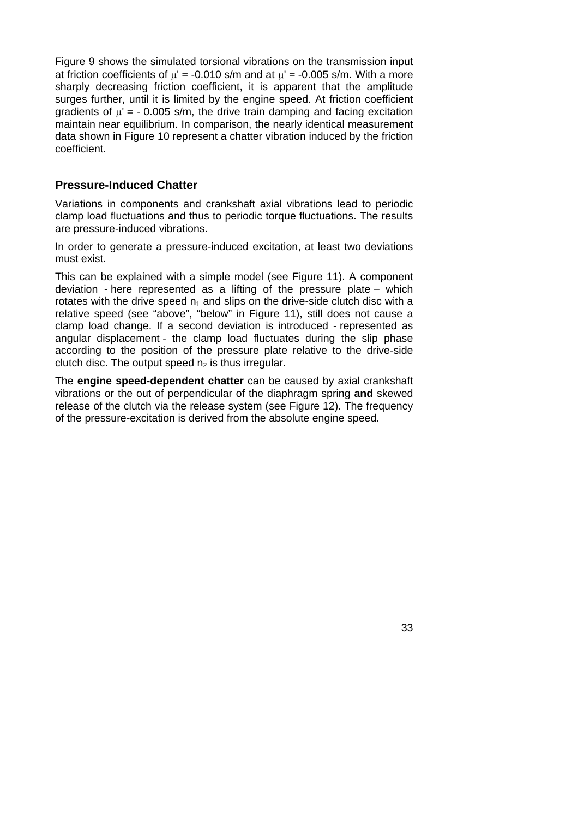Figure 9 shows the simulated torsional vibrations on the transmission input at friction coefficients of  $\mu' = -0.010$  s/m and at  $\mu' = -0.005$  s/m. With a more sharply decreasing friction coefficient, it is apparent that the amplitude surges further, until it is limited by the engine speed. At friction coefficient gradients of  $\mu' = -0.005$  s/m, the drive train damping and facing excitation maintain near equilibrium. In comparison, the nearly identical measurement data shown in Figure 10 represent a chatter vibration induced by the friction coefficient.

#### **Pressure-Induced Chatter**

Variations in components and crankshaft axial vibrations lead to periodic clamp load fluctuations and thus to periodic torque fluctuations. The results are pressure-induced vibrations.

In order to generate a pressure-induced excitation, at least two deviations must exist.

This can be explained with a simple model (see Figure 11). A component deviation - here represented as a lifting of the pressure plate – which rotates with the drive speed  $n_1$  and slips on the drive-side clutch disc with a relative speed (see "above", "below" in Figure 11), still does not cause a clamp load change. If a second deviation is introduced - represented as angular displacement - the clamp load fluctuates during the slip phase according to the position of the pressure plate relative to the drive-side clutch disc. The output speed  $n<sub>2</sub>$  is thus irregular.

The **engine speed-dependent chatter** can be caused by axial crankshaft vibrations or the out of perpendicular of the diaphragm spring **and** skewed release of the clutch via the release system (see Figure 12). The frequency of the pressure-excitation is derived from the absolute engine speed.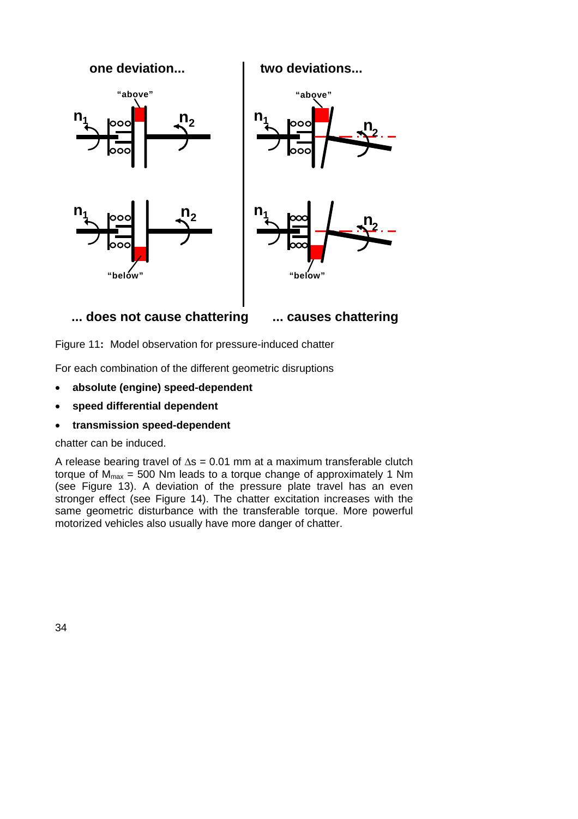

Figure 11**:** Model observation for pressure-induced chatter

For each combination of the different geometric disruptions

- **absolute (engine) speed-dependent**
- **speed differential dependent**
- **transmission speed-dependent**

chatter can be induced.

A release bearing travel of  $\Delta s = 0.01$  mm at a maximum transferable clutch torque of  $M_{\text{max}} = 500$  Nm leads to a torque change of approximately 1 Nm (see Figure 13). A deviation of the pressure plate travel has an even stronger effect (see Figure 14). The chatter excitation increases with the same geometric disturbance with the transferable torque. More powerful motorized vehicles also usually have more danger of chatter.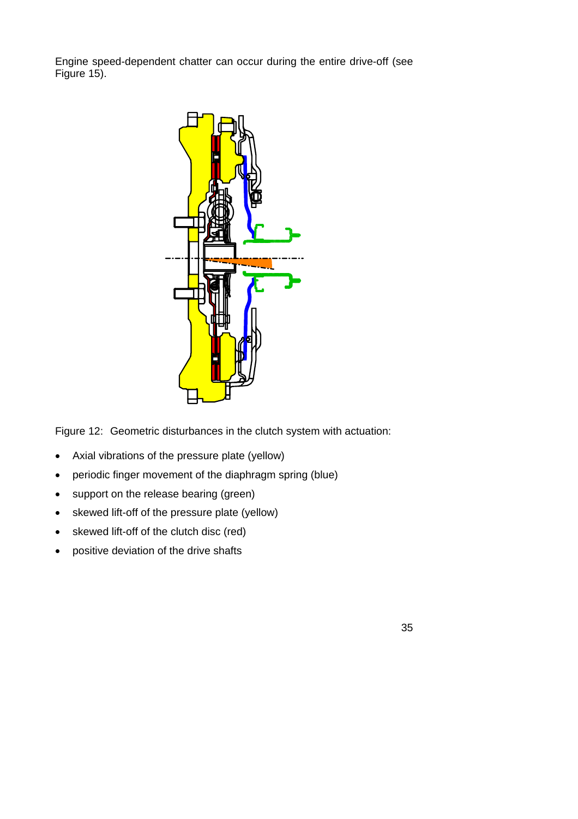Engine speed-dependent chatter can occur during the entire drive-off (see Figure 15).



Figure 12: Geometric disturbances in the clutch system with actuation:

- Axial vibrations of the pressure plate (yellow)
- periodic finger movement of the diaphragm spring (blue)
- support on the release bearing (green)
- skewed lift-off of the pressure plate (yellow)
- skewed lift-off of the clutch disc (red)
- positive deviation of the drive shafts

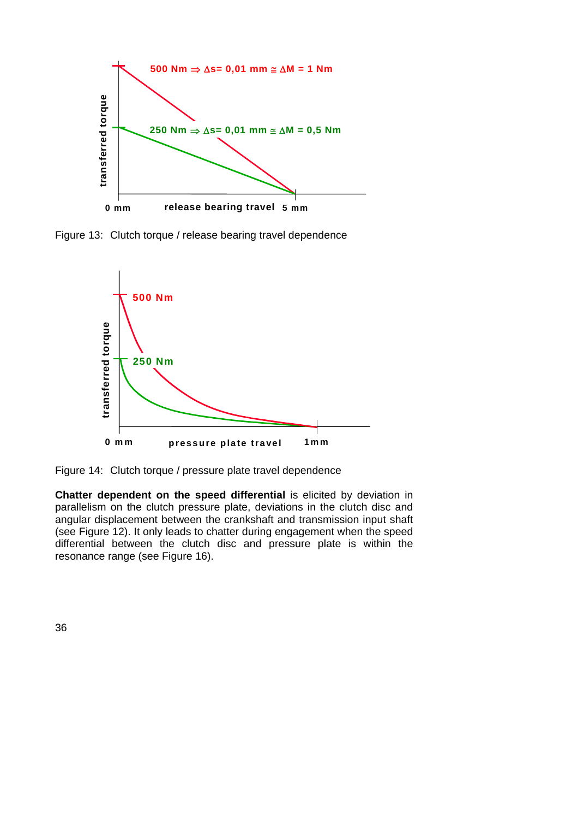

Figure 13: Clutch torque / release bearing travel dependence



Figure 14: Clutch torque / pressure plate travel dependence

**Chatter dependent on the speed differential** is elicited by deviation in parallelism on the clutch pressure plate, deviations in the clutch disc and angular displacement between the crankshaft and transmission input shaft (see Figure 12). It only leads to chatter during engagement when the speed differential between the clutch disc and pressure plate is within the resonance range (see Figure 16).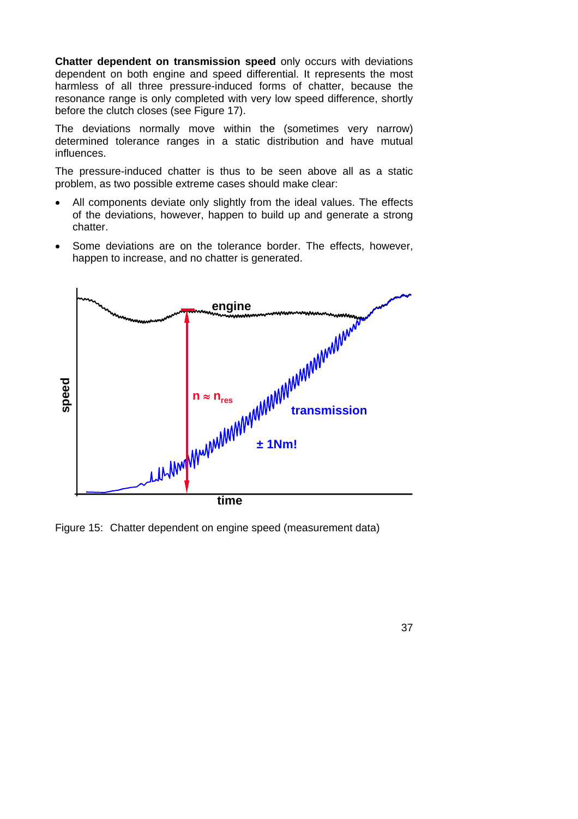**Chatter dependent on transmission speed** only occurs with deviations dependent on both engine and speed differential. It represents the most harmless of all three pressure-induced forms of chatter, because the resonance range is only completed with very low speed difference, shortly before the clutch closes (see Figure 17).

The deviations normally move within the (sometimes very narrow) determined tolerance ranges in a static distribution and have mutual influences.

The pressure-induced chatter is thus to be seen above all as a static problem, as two possible extreme cases should make clear:

- All components deviate only slightly from the ideal values. The effects of the deviations, however, happen to build up and generate a strong chatter.
- Some deviations are on the tolerance border. The effects, however, happen to increase, and no chatter is generated.



Figure 15: Chatter dependent on engine speed (measurement data)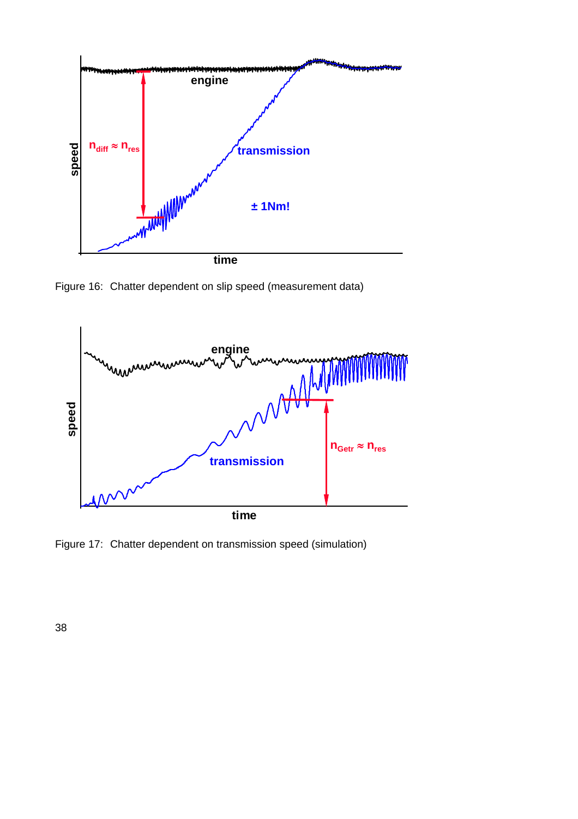

Figure 16: Chatter dependent on slip speed (measurement data)



Figure 17: Chatter dependent on transmission speed (simulation)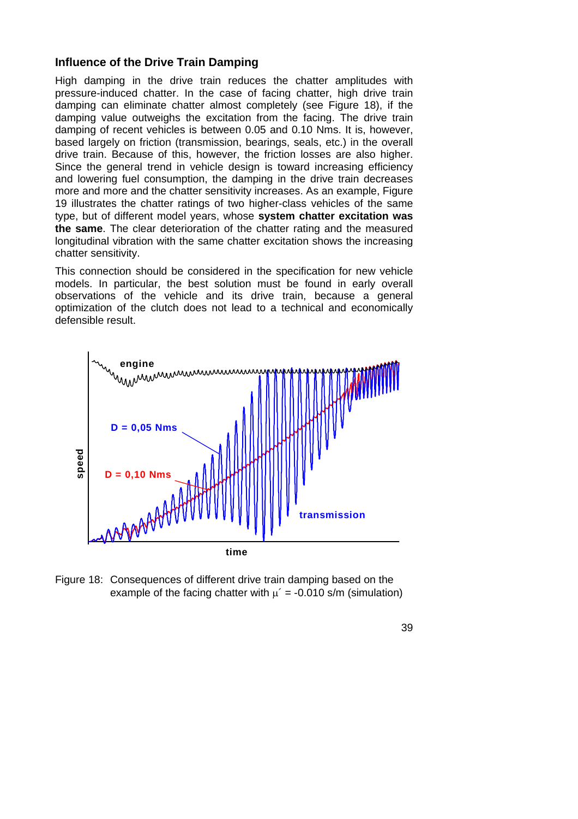#### **Influence of the Drive Train Damping**

High damping in the drive train reduces the chatter amplitudes with pressure-induced chatter. In the case of facing chatter, high drive train damping can eliminate chatter almost completely (see Figure 18), if the damping value outweighs the excitation from the facing. The drive train damping of recent vehicles is between 0.05 and 0.10 Nms. It is, however, based largely on friction (transmission, bearings, seals, etc.) in the overall drive train. Because of this, however, the friction losses are also higher. Since the general trend in vehicle design is toward increasing efficiency and lowering fuel consumption, the damping in the drive train decreases more and more and the chatter sensitivity increases. As an example, Figure 19 illustrates the chatter ratings of two higher-class vehicles of the same type, but of different model years, whose **system chatter excitation was the same**. The clear deterioration of the chatter rating and the measured longitudinal vibration with the same chatter excitation shows the increasing chatter sensitivity.

This connection should be considered in the specification for new vehicle models. In particular, the best solution must be found in early overall observations of the vehicle and its drive train, because a general optimization of the clutch does not lead to a technical and economically defensible result.



Figure 18: Consequences of different drive train damping based on the example of the facing chatter with  $\mu' = -0.010$  s/m (simulation)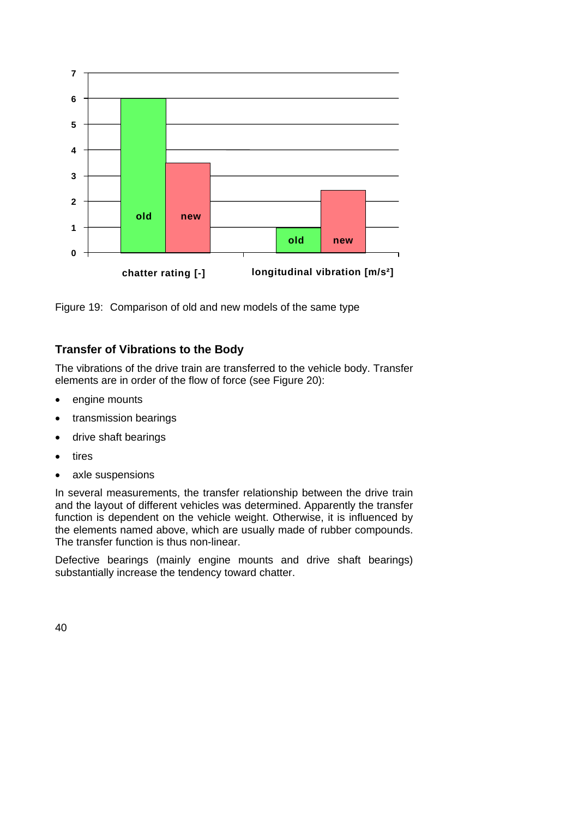

Figure 19: Comparison of old and new models of the same type

## **Transfer of Vibrations to the Body**

The vibrations of the drive train are transferred to the vehicle body. Transfer elements are in order of the flow of force (see Figure 20):

- engine mounts
- transmission bearings
- drive shaft bearings
- tires
- axle suspensions

In several measurements, the transfer relationship between the drive train and the layout of different vehicles was determined. Apparently the transfer function is dependent on the vehicle weight. Otherwise, it is influenced by the elements named above, which are usually made of rubber compounds. The transfer function is thus non-linear.

Defective bearings (mainly engine mounts and drive shaft bearings) substantially increase the tendency toward chatter.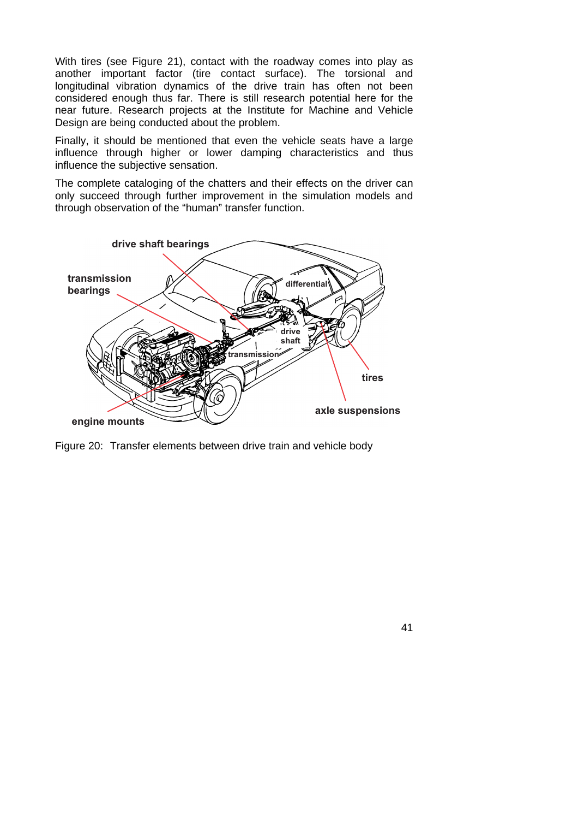With tires (see Figure 21), contact with the roadway comes into play as another important factor (tire contact surface). The torsional and longitudinal vibration dynamics of the drive train has often not been considered enough thus far. There is still research potential here for the near future. Research projects at the Institute for Machine and Vehicle Design are being conducted about the problem.

Finally, it should be mentioned that even the vehicle seats have a large influence through higher or lower damping characteristics and thus influence the subjective sensation.

The complete cataloging of the chatters and their effects on the driver can only succeed through further improvement in the simulation models and through observation of the "human" transfer function.



Figure 20: Transfer elements between drive train and vehicle body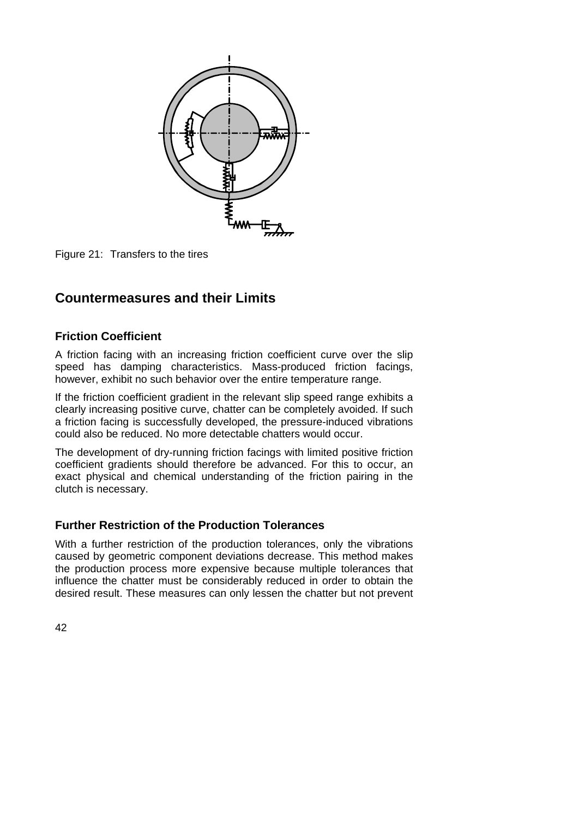

Figure 21: Transfers to the tires

## **Countermeasures and their Limits**

### **Friction Coefficient**

A friction facing with an increasing friction coefficient curve over the slip speed has damping characteristics. Mass-produced friction facings, however, exhibit no such behavior over the entire temperature range.

If the friction coefficient gradient in the relevant slip speed range exhibits a clearly increasing positive curve, chatter can be completely avoided. If such a friction facing is successfully developed, the pressure-induced vibrations could also be reduced. No more detectable chatters would occur.

The development of dry-running friction facings with limited positive friction coefficient gradients should therefore be advanced. For this to occur, an exact physical and chemical understanding of the friction pairing in the clutch is necessary.

## **Further Restriction of the Production Tolerances**

With a further restriction of the production tolerances, only the vibrations caused by geometric component deviations decrease. This method makes the production process more expensive because multiple tolerances that influence the chatter must be considerably reduced in order to obtain the desired result. These measures can only lessen the chatter but not prevent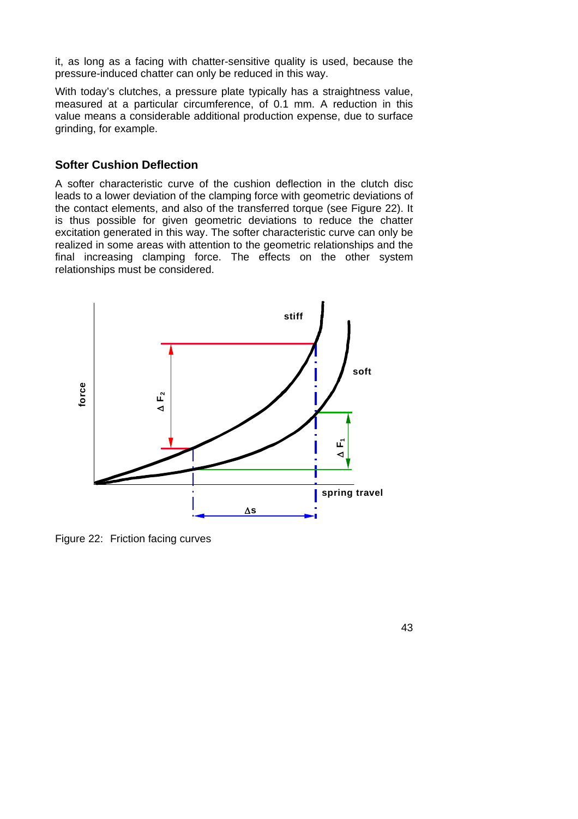it, as long as a facing with chatter-sensitive quality is used, because the pressure-induced chatter can only be reduced in this way.

With today's clutches, a pressure plate typically has a straightness value, measured at a particular circumference, of 0.1 mm. A reduction in this value means a considerable additional production expense, due to surface grinding, for example.

#### **Softer Cushion Deflection**

A softer characteristic curve of the cushion deflection in the clutch disc leads to a lower deviation of the clamping force with geometric deviations of the contact elements, and also of the transferred torque (see Figure 22). It is thus possible for given geometric deviations to reduce the chatter excitation generated in this way. The softer characteristic curve can only be realized in some areas with attention to the geometric relationships and the final increasing clamping force. The effects on the other system relationships must be considered.



Figure 22: Friction facing curves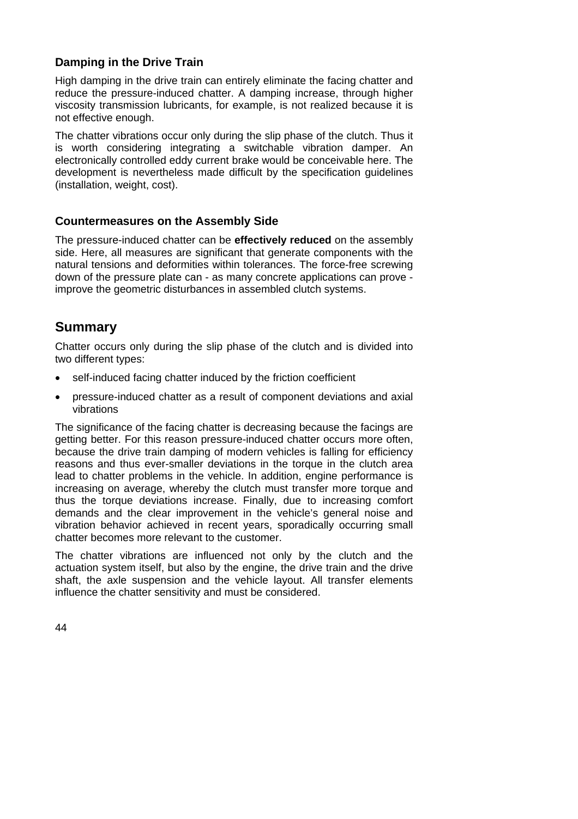## **Damping in the Drive Train**

High damping in the drive train can entirely eliminate the facing chatter and reduce the pressure-induced chatter. A damping increase, through higher viscosity transmission lubricants, for example, is not realized because it is not effective enough.

The chatter vibrations occur only during the slip phase of the clutch. Thus it is worth considering integrating a switchable vibration damper. An electronically controlled eddy current brake would be conceivable here. The development is nevertheless made difficult by the specification guidelines (installation, weight, cost).

#### **Countermeasures on the Assembly Side**

The pressure-induced chatter can be **effectively reduced** on the assembly side. Here, all measures are significant that generate components with the natural tensions and deformities within tolerances. The force-free screwing down of the pressure plate can - as many concrete applications can prove improve the geometric disturbances in assembled clutch systems.

## **Summary**

Chatter occurs only during the slip phase of the clutch and is divided into two different types:

- self-induced facing chatter induced by the friction coefficient
- pressure-induced chatter as a result of component deviations and axial vibrations

The significance of the facing chatter is decreasing because the facings are getting better. For this reason pressure-induced chatter occurs more often, because the drive train damping of modern vehicles is falling for efficiency reasons and thus ever-smaller deviations in the torque in the clutch area lead to chatter problems in the vehicle. In addition, engine performance is increasing on average, whereby the clutch must transfer more torque and thus the torque deviations increase. Finally, due to increasing comfort demands and the clear improvement in the vehicle's general noise and vibration behavior achieved in recent years, sporadically occurring small chatter becomes more relevant to the customer.

The chatter vibrations are influenced not only by the clutch and the actuation system itself, but also by the engine, the drive train and the drive shaft, the axle suspension and the vehicle layout. All transfer elements influence the chatter sensitivity and must be considered.